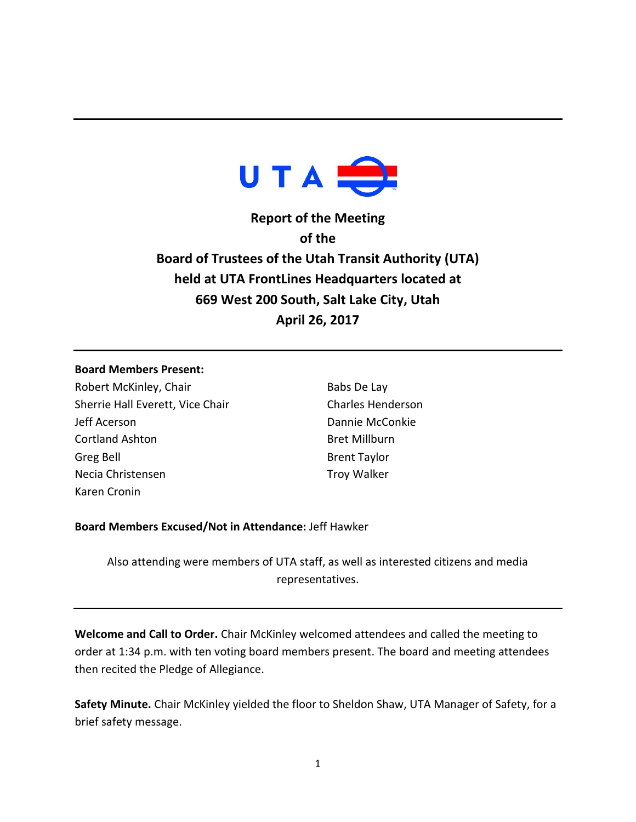

**Report of the Meeting of the Board of Trustees of the Utah Transit Authority (UTA) held at UTA FrontLines Headquarters located at 669 West 200 South, Salt Lake City, Utah April 26, 2017**

### **Board Members Present:**

Robert McKinley, Chair Sherrie Hall Everett, Vice Chair Jeff Acerson Cortland Ashton Greg Bell Necia Christensen Karen Cronin

Babs De Lay Charles Henderson Dannie McConkie Bret Millburn Brent Taylor Troy Walker

# **Board Members Excused/Not in Attendance:** Jeff Hawker

Also attending were members of UTA staff, as well as interested citizens and media representatives.

**Welcome and Call to Order.** Chair McKinley welcomed attendees and called the meeting to order at 1:34 p.m. with ten voting board members present. The board and meeting attendees then recited the Pledge of Allegiance.

**Safety Minute.** Chair McKinley yielded the floor to Sheldon Shaw, UTA Manager of Safety, for a brief safety message.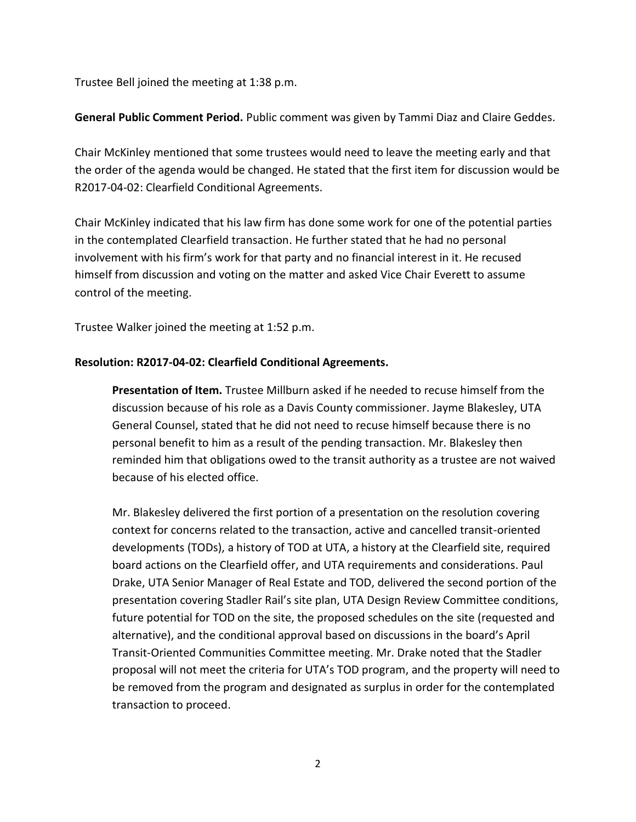Trustee Bell joined the meeting at 1:38 p.m.

**General Public Comment Period.** Public comment was given by Tammi Diaz and Claire Geddes.

Chair McKinley mentioned that some trustees would need to leave the meeting early and that the order of the agenda would be changed. He stated that the first item for discussion would be R2017-04-02: Clearfield Conditional Agreements.

Chair McKinley indicated that his law firm has done some work for one of the potential parties in the contemplated Clearfield transaction. He further stated that he had no personal involvement with his firm's work for that party and no financial interest in it. He recused himself from discussion and voting on the matter and asked Vice Chair Everett to assume control of the meeting.

Trustee Walker joined the meeting at 1:52 p.m.

# **Resolution: R2017-04-02: Clearfield Conditional Agreements.**

**Presentation of Item.** Trustee Millburn asked if he needed to recuse himself from the discussion because of his role as a Davis County commissioner. Jayme Blakesley, UTA General Counsel, stated that he did not need to recuse himself because there is no personal benefit to him as a result of the pending transaction. Mr. Blakesley then reminded him that obligations owed to the transit authority as a trustee are not waived because of his elected office.

Mr. Blakesley delivered the first portion of a presentation on the resolution covering context for concerns related to the transaction, active and cancelled transit-oriented developments (TODs), a history of TOD at UTA, a history at the Clearfield site, required board actions on the Clearfield offer, and UTA requirements and considerations. Paul Drake, UTA Senior Manager of Real Estate and TOD, delivered the second portion of the presentation covering Stadler Rail's site plan, UTA Design Review Committee conditions, future potential for TOD on the site, the proposed schedules on the site (requested and alternative), and the conditional approval based on discussions in the board's April Transit-Oriented Communities Committee meeting. Mr. Drake noted that the Stadler proposal will not meet the criteria for UTA's TOD program, and the property will need to be removed from the program and designated as surplus in order for the contemplated transaction to proceed.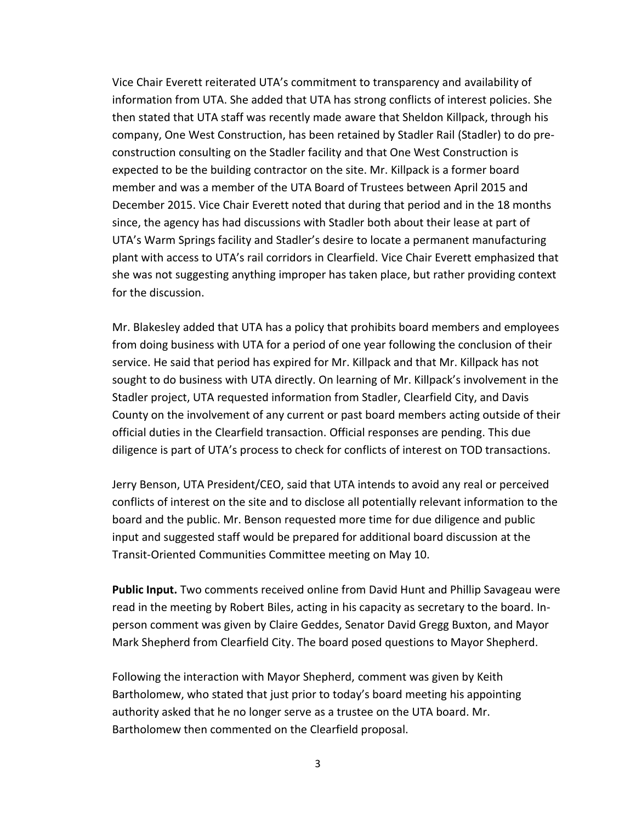Vice Chair Everett reiterated UTA's commitment to transparency and availability of information from UTA. She added that UTA has strong conflicts of interest policies. She then stated that UTA staff was recently made aware that Sheldon Killpack, through his company, One West Construction, has been retained by Stadler Rail (Stadler) to do preconstruction consulting on the Stadler facility and that One West Construction is expected to be the building contractor on the site. Mr. Killpack is a former board member and was a member of the UTA Board of Trustees between April 2015 and December 2015. Vice Chair Everett noted that during that period and in the 18 months since, the agency has had discussions with Stadler both about their lease at part of UTA's Warm Springs facility and Stadler's desire to locate a permanent manufacturing plant with access to UTA's rail corridors in Clearfield. Vice Chair Everett emphasized that she was not suggesting anything improper has taken place, but rather providing context for the discussion.

Mr. Blakesley added that UTA has a policy that prohibits board members and employees from doing business with UTA for a period of one year following the conclusion of their service. He said that period has expired for Mr. Killpack and that Mr. Killpack has not sought to do business with UTA directly. On learning of Mr. Killpack's involvement in the Stadler project, UTA requested information from Stadler, Clearfield City, and Davis County on the involvement of any current or past board members acting outside of their official duties in the Clearfield transaction. Official responses are pending. This due diligence is part of UTA's process to check for conflicts of interest on TOD transactions.

Jerry Benson, UTA President/CEO, said that UTA intends to avoid any real or perceived conflicts of interest on the site and to disclose all potentially relevant information to the board and the public. Mr. Benson requested more time for due diligence and public input and suggested staff would be prepared for additional board discussion at the Transit-Oriented Communities Committee meeting on May 10.

**Public Input.** Two comments received online from David Hunt and Phillip Savageau were read in the meeting by Robert Biles, acting in his capacity as secretary to the board. Inperson comment was given by Claire Geddes, Senator David Gregg Buxton, and Mayor Mark Shepherd from Clearfield City. The board posed questions to Mayor Shepherd.

Following the interaction with Mayor Shepherd, comment was given by Keith Bartholomew, who stated that just prior to today's board meeting his appointing authority asked that he no longer serve as a trustee on the UTA board. Mr. Bartholomew then commented on the Clearfield proposal.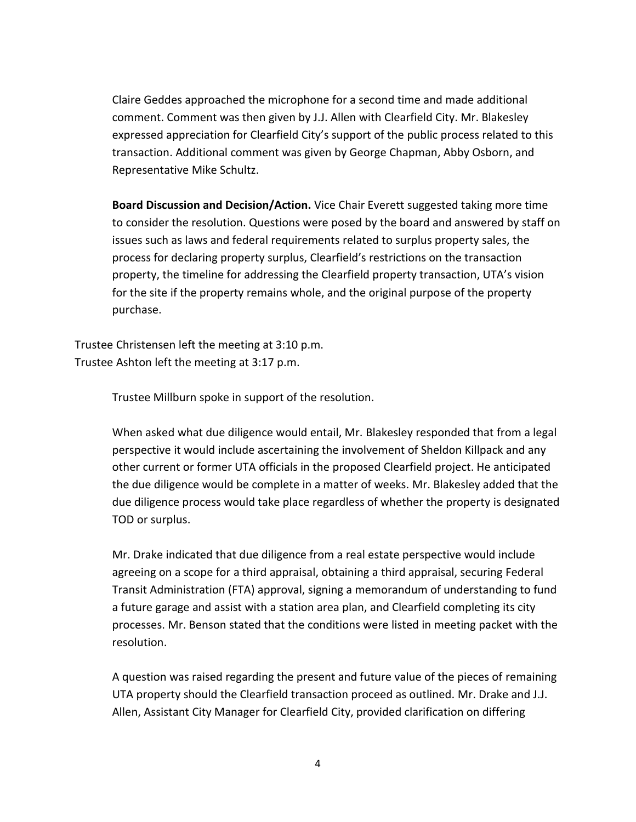Claire Geddes approached the microphone for a second time and made additional comment. Comment was then given by J.J. Allen with Clearfield City. Mr. Blakesley expressed appreciation for Clearfield City's support of the public process related to this transaction. Additional comment was given by George Chapman, Abby Osborn, and Representative Mike Schultz.

**Board Discussion and Decision/Action.** Vice Chair Everett suggested taking more time to consider the resolution. Questions were posed by the board and answered by staff on issues such as laws and federal requirements related to surplus property sales, the process for declaring property surplus, Clearfield's restrictions on the transaction property, the timeline for addressing the Clearfield property transaction, UTA's vision for the site if the property remains whole, and the original purpose of the property purchase.

Trustee Christensen left the meeting at 3:10 p.m. Trustee Ashton left the meeting at 3:17 p.m.

Trustee Millburn spoke in support of the resolution.

When asked what due diligence would entail, Mr. Blakesley responded that from a legal perspective it would include ascertaining the involvement of Sheldon Killpack and any other current or former UTA officials in the proposed Clearfield project. He anticipated the due diligence would be complete in a matter of weeks. Mr. Blakesley added that the due diligence process would take place regardless of whether the property is designated TOD or surplus.

Mr. Drake indicated that due diligence from a real estate perspective would include agreeing on a scope for a third appraisal, obtaining a third appraisal, securing Federal Transit Administration (FTA) approval, signing a memorandum of understanding to fund a future garage and assist with a station area plan, and Clearfield completing its city processes. Mr. Benson stated that the conditions were listed in meeting packet with the resolution.

A question was raised regarding the present and future value of the pieces of remaining UTA property should the Clearfield transaction proceed as outlined. Mr. Drake and J.J. Allen, Assistant City Manager for Clearfield City, provided clarification on differing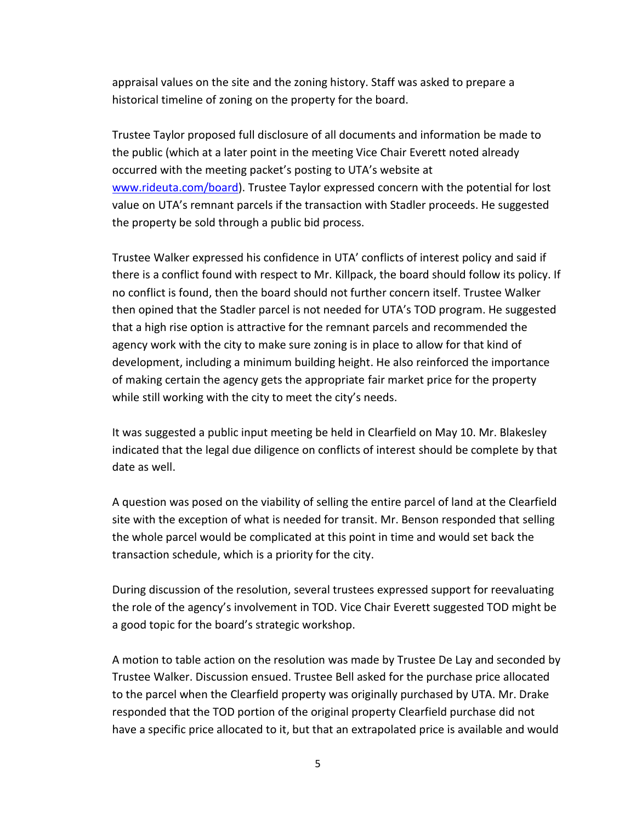appraisal values on the site and the zoning history. Staff was asked to prepare a historical timeline of zoning on the property for the board.

Trustee Taylor proposed full disclosure of all documents and information be made to the public (which at a later point in the meeting Vice Chair Everett noted already occurred with the meeting packet's posting to UTA's website at [www.rideuta.com/board\)](http://www.rideuta.com/board). Trustee Taylor expressed concern with the potential for lost value on UTA's remnant parcels if the transaction with Stadler proceeds. He suggested the property be sold through a public bid process.

Trustee Walker expressed his confidence in UTA' conflicts of interest policy and said if there is a conflict found with respect to Mr. Killpack, the board should follow its policy. If no conflict is found, then the board should not further concern itself. Trustee Walker then opined that the Stadler parcel is not needed for UTA's TOD program. He suggested that a high rise option is attractive for the remnant parcels and recommended the agency work with the city to make sure zoning is in place to allow for that kind of development, including a minimum building height. He also reinforced the importance of making certain the agency gets the appropriate fair market price for the property while still working with the city to meet the city's needs.

It was suggested a public input meeting be held in Clearfield on May 10. Mr. Blakesley indicated that the legal due diligence on conflicts of interest should be complete by that date as well.

A question was posed on the viability of selling the entire parcel of land at the Clearfield site with the exception of what is needed for transit. Mr. Benson responded that selling the whole parcel would be complicated at this point in time and would set back the transaction schedule, which is a priority for the city.

During discussion of the resolution, several trustees expressed support for reevaluating the role of the agency's involvement in TOD. Vice Chair Everett suggested TOD might be a good topic for the board's strategic workshop.

A motion to table action on the resolution was made by Trustee De Lay and seconded by Trustee Walker. Discussion ensued. Trustee Bell asked for the purchase price allocated to the parcel when the Clearfield property was originally purchased by UTA. Mr. Drake responded that the TOD portion of the original property Clearfield purchase did not have a specific price allocated to it, but that an extrapolated price is available and would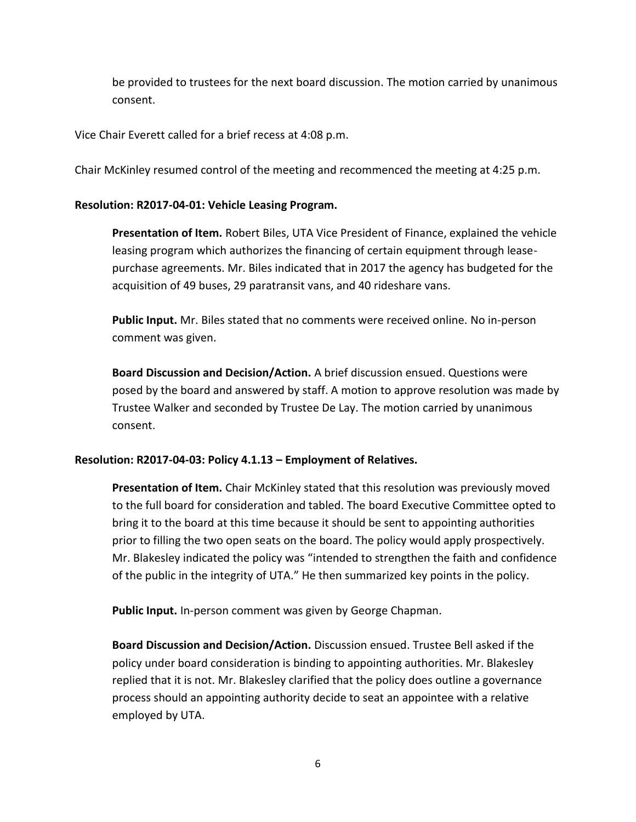be provided to trustees for the next board discussion. The motion carried by unanimous consent.

Vice Chair Everett called for a brief recess at 4:08 p.m.

Chair McKinley resumed control of the meeting and recommenced the meeting at 4:25 p.m.

## **Resolution: R2017-04-01: Vehicle Leasing Program.**

**Presentation of Item.** Robert Biles, UTA Vice President of Finance, explained the vehicle leasing program which authorizes the financing of certain equipment through leasepurchase agreements. Mr. Biles indicated that in 2017 the agency has budgeted for the acquisition of 49 buses, 29 paratransit vans, and 40 rideshare vans.

**Public Input.** Mr. Biles stated that no comments were received online. No in-person comment was given.

**Board Discussion and Decision/Action.** A brief discussion ensued. Questions were posed by the board and answered by staff. A motion to approve resolution was made by Trustee Walker and seconded by Trustee De Lay. The motion carried by unanimous consent.

# **Resolution: R2017-04-03: Policy 4.1.13 – Employment of Relatives.**

**Presentation of Item.** Chair McKinley stated that this resolution was previously moved to the full board for consideration and tabled. The board Executive Committee opted to bring it to the board at this time because it should be sent to appointing authorities prior to filling the two open seats on the board. The policy would apply prospectively. Mr. Blakesley indicated the policy was "intended to strengthen the faith and confidence of the public in the integrity of UTA." He then summarized key points in the policy.

**Public Input.** In-person comment was given by George Chapman.

**Board Discussion and Decision/Action.** Discussion ensued. Trustee Bell asked if the policy under board consideration is binding to appointing authorities. Mr. Blakesley replied that it is not. Mr. Blakesley clarified that the policy does outline a governance process should an appointing authority decide to seat an appointee with a relative employed by UTA.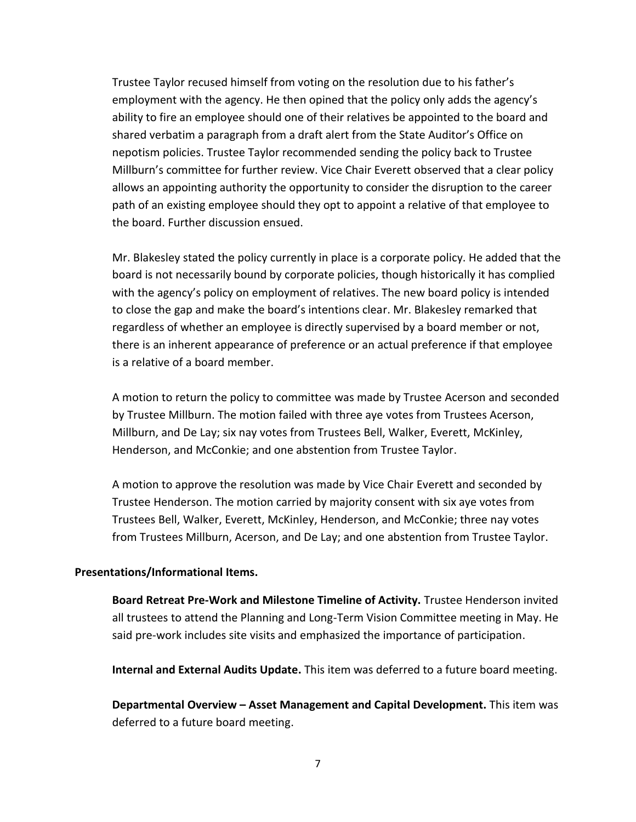Trustee Taylor recused himself from voting on the resolution due to his father's employment with the agency. He then opined that the policy only adds the agency's ability to fire an employee should one of their relatives be appointed to the board and shared verbatim a paragraph from a draft alert from the State Auditor's Office on nepotism policies. Trustee Taylor recommended sending the policy back to Trustee Millburn's committee for further review. Vice Chair Everett observed that a clear policy allows an appointing authority the opportunity to consider the disruption to the career path of an existing employee should they opt to appoint a relative of that employee to the board. Further discussion ensued.

Mr. Blakesley stated the policy currently in place is a corporate policy. He added that the board is not necessarily bound by corporate policies, though historically it has complied with the agency's policy on employment of relatives. The new board policy is intended to close the gap and make the board's intentions clear. Mr. Blakesley remarked that regardless of whether an employee is directly supervised by a board member or not, there is an inherent appearance of preference or an actual preference if that employee is a relative of a board member.

A motion to return the policy to committee was made by Trustee Acerson and seconded by Trustee Millburn. The motion failed with three aye votes from Trustees Acerson, Millburn, and De Lay; six nay votes from Trustees Bell, Walker, Everett, McKinley, Henderson, and McConkie; and one abstention from Trustee Taylor.

A motion to approve the resolution was made by Vice Chair Everett and seconded by Trustee Henderson. The motion carried by majority consent with six aye votes from Trustees Bell, Walker, Everett, McKinley, Henderson, and McConkie; three nay votes from Trustees Millburn, Acerson, and De Lay; and one abstention from Trustee Taylor.

### **Presentations/Informational Items.**

**Board Retreat Pre-Work and Milestone Timeline of Activity.** Trustee Henderson invited all trustees to attend the Planning and Long-Term Vision Committee meeting in May. He said pre-work includes site visits and emphasized the importance of participation.

**Internal and External Audits Update.** This item was deferred to a future board meeting.

**Departmental Overview – Asset Management and Capital Development.** This item was deferred to a future board meeting.